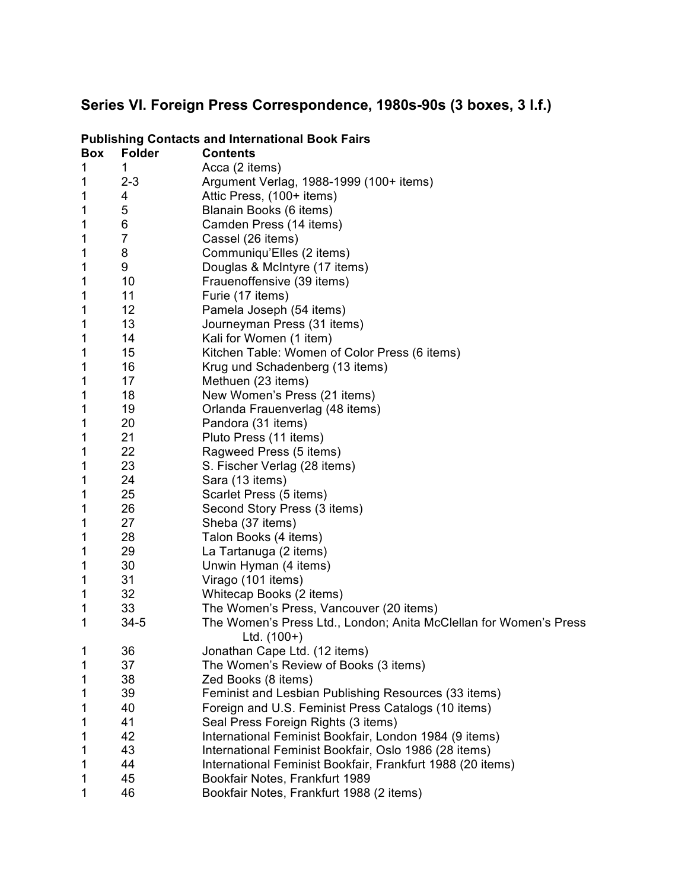## **Series VI. Foreign Press Correspondence, 1980s-90s (3 boxes, 3 l.f.)**

| <b>Box</b> | <b>Folder</b>  | <b>Contents</b>                                                        |
|------------|----------------|------------------------------------------------------------------------|
| 1          | 1              | Acca (2 items)                                                         |
| 1          | $2 - 3$        | Argument Verlag, 1988-1999 (100+ items)                                |
| 1          | 4              | Attic Press, (100+ items)                                              |
| 1          | 5              | Blanain Books (6 items)                                                |
| 1          | 6              | Camden Press (14 items)                                                |
| 1          | $\overline{7}$ | Cassel (26 items)                                                      |
| 1          | 8              | Communiqu'Elles (2 items)                                              |
| 1          | 9              | Douglas & McIntyre (17 items)                                          |
| 1          | 10             | Frauenoffensive (39 items)                                             |
| 1          | 11             | Furie (17 items)                                                       |
| 1          | 12             | Pamela Joseph (54 items)                                               |
| 1          | 13             | Journeyman Press (31 items)                                            |
| 1          | 14             | Kali for Women (1 item)                                                |
| 1          | 15             | Kitchen Table: Women of Color Press (6 items)                          |
| 1          | 16             | Krug und Schadenberg (13 items)                                        |
| 1          | 17             | Methuen (23 items)                                                     |
| 1          | 18             | New Women's Press (21 items)                                           |
| 1          | 19             | Orlanda Frauenverlag (48 items)                                        |
| 1          | 20             | Pandora (31 items)                                                     |
| 1          | 21             | Pluto Press (11 items)                                                 |
| 1          | 22             | Ragweed Press (5 items)                                                |
| 1          | 23             | S. Fischer Verlag (28 items)                                           |
| 1          | 24             | Sara (13 items)                                                        |
| 1          | 25             | Scarlet Press (5 items)                                                |
| 1          | 26             | Second Story Press (3 items)                                           |
| 1          | 27             | Sheba (37 items)                                                       |
| 1          | 28             | Talon Books (4 items)                                                  |
| 1          | 29             | La Tartanuga (2 items)                                                 |
| 1          | 30             | Unwin Hyman (4 items)                                                  |
| 1          | 31             | Virago (101 items)                                                     |
| 1          | 32             | Whitecap Books (2 items)                                               |
| 1          | 33             | The Women's Press, Vancouver (20 items)                                |
| 1          | $34 - 5$       | The Women's Press Ltd., London; Anita McClellan for Women's Press      |
| 1          | 36             | Ltd. $(100+)$                                                          |
| 1          | 37             | Jonathan Cape Ltd. (12 items)<br>The Women's Review of Books (3 items) |
| 1          | 38             | Zed Books (8 items)                                                    |
| 1          | 39             | Feminist and Lesbian Publishing Resources (33 items)                   |
| 1          | 40             | Foreign and U.S. Feminist Press Catalogs (10 items)                    |
| 1          | 41             | Seal Press Foreign Rights (3 items)                                    |
| 1          | 42             | International Feminist Bookfair, London 1984 (9 items)                 |
| 1          | 43             | International Feminist Bookfair, Oslo 1986 (28 items)                  |
| 1          | 44             | International Feminist Bookfair, Frankfurt 1988 (20 items)             |
| 1          | 45             | Bookfair Notes, Frankfurt 1989                                         |
| 1          | 46             | Bookfair Notes, Frankfurt 1988 (2 items)                               |
|            |                |                                                                        |

## **Publishing Contacts and International Book Fairs**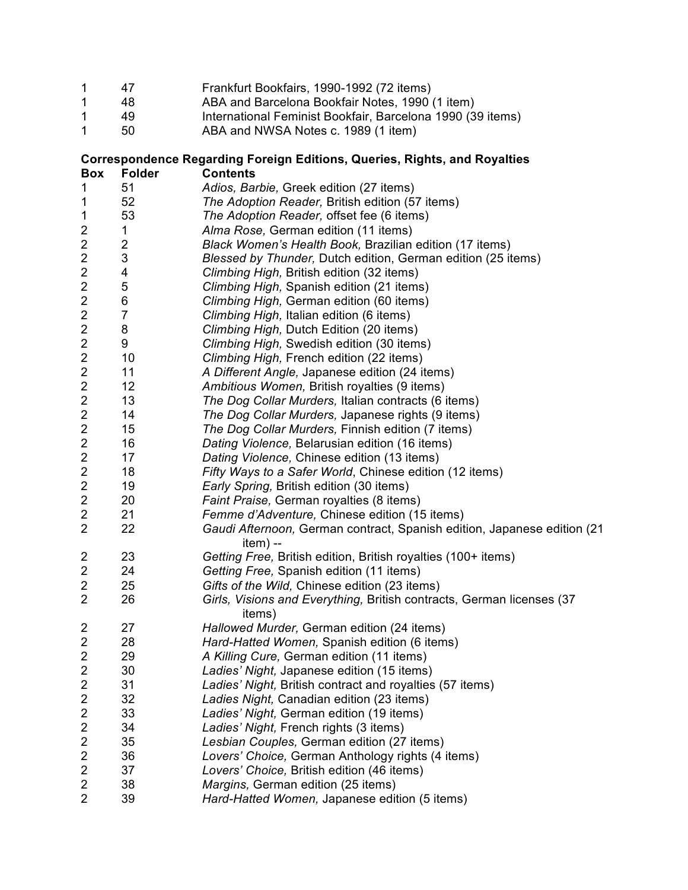|  | Frankfurt Bookfairs, 1990-1992 (72 items) |  |  |
|--|-------------------------------------------|--|--|
|  |                                           |  |  |

- 1 48 ABA and Barcelona Bookfair Notes, 1990 (1 item)<br>1 49 International Feminist Bookfair, Barcelona 1990 (3
- 1 49 International Feminist Bookfair, Barcelona 1990 (39 items)<br>1 50 ABA and NWSA Notes c. 1989 (1 item)

50 ABA and NWSA Notes c. 1989 (1 item)

## **Correspondence Regarding Foreign Editions, Queries, Rights, and Royalties Box Folder Contents**

| $\mathbf 1$             | 51                      | Adios, Barbie, Greek edition (27 items)                                              |
|-------------------------|-------------------------|--------------------------------------------------------------------------------------|
| $\mathbf 1$             | 52                      | The Adoption Reader, British edition (57 items)                                      |
| 1                       | 53                      | The Adoption Reader, offset fee (6 items)                                            |
| 2                       | 1                       | Alma Rose, German edition (11 items)                                                 |
| $\boldsymbol{2}$        | $\overline{\mathbf{c}}$ | Black Women's Health Book, Brazilian edition (17 items)                              |
| $\overline{\mathbf{c}}$ | 3                       | Blessed by Thunder, Dutch edition, German edition (25 items)                         |
| $\overline{c}$          | 4                       | Climbing High, British edition (32 items)                                            |
| $\boldsymbol{2}$        | 5                       | Climbing High, Spanish edition (21 items)                                            |
| $\overline{\mathbf{c}}$ | 6                       | Climbing High, German edition (60 items)                                             |
| $\overline{\mathbf{c}}$ | $\overline{7}$          | Climbing High, Italian edition (6 items)                                             |
| $\boldsymbol{2}$        | 8                       | Climbing High, Dutch Edition (20 items)                                              |
| $\mathbf 2$             | 9                       | Climbing High, Swedish edition (30 items)                                            |
| $\overline{\mathbf{c}}$ | 10                      | Climbing High, French edition (22 items)                                             |
| $\boldsymbol{2}$        | 11                      | A Different Angle, Japanese edition (24 items)                                       |
| $\overline{\mathbf{c}}$ | 12                      | Ambitious Women, British royalties (9 items)                                         |
| $\mathbf 2$             | 13                      | The Dog Collar Murders, Italian contracts (6 items)                                  |
| $\boldsymbol{2}$        | 14                      | The Dog Collar Murders, Japanese rights (9 items)                                    |
| $\overline{\mathbf{c}}$ | 15                      | The Dog Collar Murders, Finnish edition (7 items)                                    |
| $\overline{\mathbf{c}}$ | 16                      | Dating Violence, Belarusian edition (16 items)                                       |
| $\boldsymbol{2}$        | 17                      | Dating Violence, Chinese edition (13 items)                                          |
| $\mathbf 2$             | 18                      | Fifty Ways to a Safer World, Chinese edition (12 items)                              |
| $\overline{\mathbf{c}}$ | 19                      | Early Spring, British edition (30 items)                                             |
| $\boldsymbol{2}$        | 20                      | Faint Praise, German royalties (8 items)                                             |
| $\overline{\mathbf{c}}$ | 21                      | Femme d'Adventure, Chinese edition (15 items)                                        |
| $\overline{2}$          | 22                      | Gaudi Afternoon, German contract, Spanish edition, Japanese edition (21<br>$item) -$ |
| 2                       | 23                      | Getting Free, British edition, British royalties (100+ items)                        |
| $\overline{\mathbf{c}}$ | 24                      | Getting Free, Spanish edition (11 items)                                             |
| $\overline{\mathbf{c}}$ | 25                      | Gifts of the Wild, Chinese edition (23 items)                                        |
| $\overline{2}$          | 26                      | Girls, Visions and Everything, British contracts, German licenses (37<br>items)      |
| 2                       | 27                      | Hallowed Murder, German edition (24 items)                                           |
| $\overline{\mathbf{c}}$ | 28                      | Hard-Hatted Women, Spanish edition (6 items)                                         |
| $\overline{\mathbf{c}}$ | 29                      | A Killing Cure, German edition (11 items)                                            |
| $\overline{2}$          | 30                      | Ladies' Night, Japanese edition (15 items)                                           |
| $\overline{2}$          | 31                      | Ladies' Night, British contract and royalties (57 items)                             |
| $\overline{\mathbf{c}}$ | 32                      | Ladies Night, Canadian edition (23 items)                                            |
| $\overline{\mathbf{c}}$ | 33                      | Ladies' Night, German edition (19 items)                                             |
| $\overline{\mathbf{c}}$ | 34                      | Ladies' Night, French rights (3 items)                                               |
| $\overline{\mathbf{c}}$ | 35                      | Lesbian Couples, German edition (27 items)                                           |
| $\overline{\mathbf{c}}$ | 36                      | Lovers' Choice, German Anthology rights (4 items)                                    |
| $\overline{\mathbf{c}}$ | 37                      | Lovers' Choice, British edition (46 items)                                           |
| $\overline{\mathbf{c}}$ | 38                      | Margins, German edition (25 items)                                                   |
| $\overline{2}$          | 39                      | Hard-Hatted Women, Japanese edition (5 items)                                        |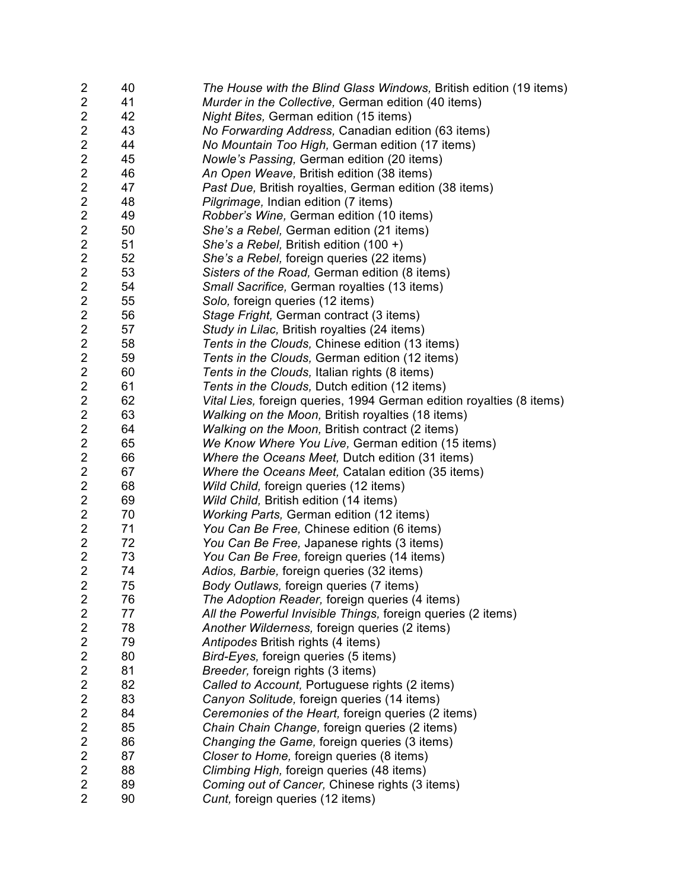| $\overline{c}$                            | 40       | The House with the Blind Glass Windows, British edition (19 items)   |
|-------------------------------------------|----------|----------------------------------------------------------------------|
| $\overline{c}$                            | 41       | Murder in the Collective, German edition (40 items)                  |
| $\overline{c}$                            | 42       | Night Bites, German edition (15 items)                               |
| $\overline{\mathbf{c}}$                   | 43       | No Forwarding Address, Canadian edition (63 items)                   |
| $\overline{2}$                            | 44       | No Mountain Too High, German edition (17 items)                      |
| $\mathbf 2$                               | 45       | Nowle's Passing, German edition (20 items)                           |
| $\overline{\mathbf{c}}$                   | 46       | An Open Weave, British edition (38 items)                            |
| $\overline{c}$                            | 47       | Past Due, British royalties, German edition (38 items)               |
| $\mathbf 2$                               | 48       | Pilgrimage, Indian edition (7 items)                                 |
| $\overline{c}$                            | 49       | Robber's Wine, German edition (10 items)                             |
| $\overline{\mathbf{c}}$                   | 50       | She's a Rebel, German edition (21 items)                             |
| $\overline{\mathbf{c}}$                   | 51       | She's a Rebel, British edition (100 +)                               |
| $\overline{\mathbf{c}}$                   | 52       | She's a Rebel, foreign queries (22 items)                            |
| $\overline{2}$                            | 53       | Sisters of the Road, German edition (8 items)                        |
| $\overline{\mathbf{c}}$                   | 54       | Small Sacrifice, German royalties (13 items)                         |
| $\overline{\mathbf{c}}$                   | 55       | Solo, foreign queries (12 items)                                     |
| $\overline{c}$                            | 56       | Stage Fright, German contract (3 items)                              |
| $\overline{\mathbf{c}}$                   | 57       | Study in Lilac, British royalties (24 items)                         |
| $\overline{\mathbf{c}}$                   | 58       | Tents in the Clouds, Chinese edition (13 items)                      |
| $\mathbf 2$                               | 59       | Tents in the Clouds, German edition (12 items)                       |
| $\overline{\mathbf{c}}$                   | 60       | Tents in the Clouds, Italian rights (8 items)                        |
| $\overline{\mathbf{c}}$                   | 61       | Tents in the Clouds, Dutch edition (12 items)                        |
| $\overline{\mathbf{c}}$                   | 62       | Vital Lies, foreign queries, 1994 German edition royalties (8 items) |
|                                           | 63       |                                                                      |
| $\overline{2}$<br>$\mathbf 2$             |          | Walking on the Moon, British royalties (18 items)                    |
| $\overline{2}$                            | 64<br>65 | Walking on the Moon, British contract (2 items)                      |
|                                           |          | We Know Where You Live, German edition (15 items)                    |
| $\overline{\mathbf{c}}$                   | 66       | Where the Oceans Meet, Dutch edition (31 items)                      |
| $\overline{\mathbf{c}}$                   | 67       | Where the Oceans Meet, Catalan edition (35 items)                    |
| $\overline{\mathbf{c}}$<br>$\overline{c}$ | 68       | Wild Child, foreign queries (12 items)                               |
|                                           | 69       | Wild Child, British edition (14 items)                               |
| $\overline{\mathbf{c}}$                   | 70       | <b>Working Parts, German edition (12 items)</b>                      |
| $\overline{2}$                            | 71       | You Can Be Free, Chinese edition (6 items)                           |
| $\overline{2}$                            | 72       | You Can Be Free, Japanese rights (3 items)                           |
| $\boldsymbol{2}$                          | 73       | You Can Be Free, foreign queries (14 items)                          |
| $\overline{2}$                            | 74       | Adios, Barbie, foreign queries (32 items)                            |
| $\overline{2}$                            | 75       | Body Outlaws, foreign queries (7 items)                              |
| $\overline{2}$                            | 76       | The Adoption Reader, foreign queries (4 items)                       |
| $\overline{2}$                            | 77       | All the Powerful Invisible Things, foreign queries (2 items)         |
| $\overline{2}$                            | 78       | Another Wilderness, foreign queries (2 items)                        |
| $\overline{2}$                            | 79       | Antipodes British rights (4 items)                                   |
| $\overline{c}$                            | 80       | Bird-Eyes, foreign queries (5 items)                                 |
| $\overline{2}$                            | 81       | Breeder, foreign rights (3 items)                                    |
| $\overline{2}$                            | 82       | Called to Account, Portuguese rights (2 items)                       |
| $\overline{2}$                            | 83       | Canyon Solitude, foreign queries (14 items)                          |
| $\overline{2}$                            | 84       | Ceremonies of the Heart, foreign queries (2 items)                   |
| $\overline{c}$                            | 85       | Chain Chain Change, foreign queries (2 items)                        |
| $\overline{2}$                            | 86       | Changing the Game, foreign queries (3 items)                         |
| $\overline{2}$                            | 87       | Closer to Home, foreign queries (8 items)                            |
| $\overline{2}$                            | 88       | Climbing High, foreign queries (48 items)                            |
| $\overline{2}$                            | 89       | Coming out of Cancer, Chinese rights (3 items)                       |
| $\overline{2}$                            | 90       | Cunt, foreign queries (12 items)                                     |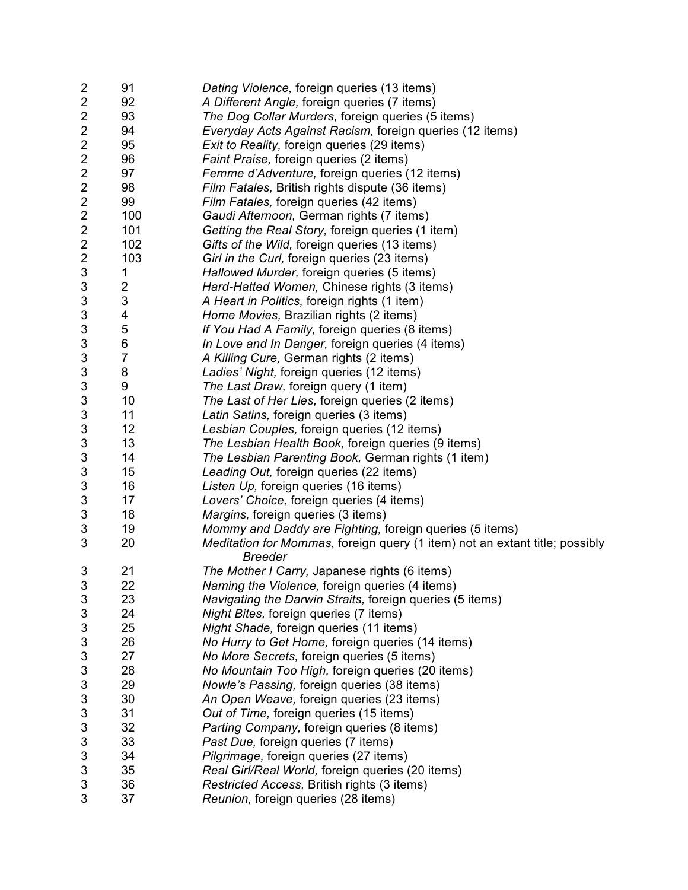| $\overline{\mathbf{c}}$   | 91                      | Dating Violence, foreign queries (13 items)                                 |
|---------------------------|-------------------------|-----------------------------------------------------------------------------|
| $\overline{\mathbf{c}}$   | 92                      | A Different Angle, foreign queries (7 items)                                |
| $\overline{\mathbf{c}}$   | 93                      | The Dog Collar Murders, foreign queries (5 items)                           |
| $\overline{c}$            | 94                      | Everyday Acts Against Racism, foreign queries (12 items)                    |
| $\overline{\mathbf{c}}$   | 95                      | Exit to Reality, foreign queries (29 items)                                 |
| $\overline{\mathbf{c}}$   | 96                      | Faint Praise, foreign queries (2 items)                                     |
| $\overline{\mathbf{c}}$   | 97                      | Femme d'Adventure, foreign queries (12 items)                               |
| $\overline{\mathbf{c}}$   | 98                      | Film Fatales, British rights dispute (36 items)                             |
| $\overline{\mathbf{c}}$   | 99                      | Film Fatales, foreign queries (42 items)                                    |
| $\boldsymbol{2}$          | 100                     | Gaudi Afternoon, German rights (7 items)                                    |
| $\overline{\mathbf{c}}$   | 101                     | Getting the Real Story, foreign queries (1 item)                            |
| $\overline{\mathbf{c}}$   | 102                     | Gifts of the Wild, foreign queries (13 items)                               |
| $\overline{\mathbf{c}}$   | 103                     | Girl in the Curl, foreign queries (23 items)                                |
| $\sqrt{3}$                | 1                       | Hallowed Murder, foreign queries (5 items)                                  |
| 3                         | $\overline{\mathbf{c}}$ | Hard-Hatted Women, Chinese rights (3 items)                                 |
| 3                         | 3                       | A Heart in Politics, foreign rights (1 item)                                |
| 3                         | 4                       | Home Movies, Brazilian rights (2 items)                                     |
| 3                         | 5                       | If You Had A Family, foreign queries (8 items)                              |
| $\ensuremath{\mathsf{3}}$ | 6                       | In Love and In Danger, foreign queries (4 items)                            |
| 3                         | $\overline{7}$          | A Killing Cure, German rights (2 items)                                     |
| 3                         | 8                       | Ladies' Night, foreign queries (12 items)                                   |
| 3                         | 9                       | The Last Draw, foreign query (1 item)                                       |
| 3                         | 10                      | The Last of Her Lies, foreign queries (2 items)                             |
| 3                         | 11                      | Latin Satins, foreign queries (3 items)                                     |
| 3                         | 12                      | Lesbian Couples, foreign queries (12 items)                                 |
| 3                         | 13                      | The Lesbian Health Book, foreign queries (9 items)                          |
| 3                         | 14                      | The Lesbian Parenting Book, German rights (1 item)                          |
| 3                         | 15                      | Leading Out, foreign queries (22 items)                                     |
| 3                         | 16                      | Listen Up, foreign queries (16 items)                                       |
| $\sqrt{3}$                | 17                      | Lovers' Choice, foreign queries (4 items)                                   |
| 3                         | 18                      | Margins, foreign queries (3 items)                                          |
| 3                         | 19                      | Mommy and Daddy are Fighting, foreign queries (5 items)                     |
| 3                         | 20                      | Meditation for Mommas, foreign query (1 item) not an extant title; possibly |
|                           |                         | <b>Breeder</b>                                                              |
| 3                         | 21                      | The Mother I Carry, Japanese rights (6 items)                               |
| 3                         | 22                      | Naming the Violence, foreign queries (4 items)                              |
| 3                         | 23                      | Navigating the Darwin Straits, foreign queries (5 items)                    |
| 3                         | 24                      | Night Bites, foreign queries (7 items)                                      |
| 3                         | 25                      | Night Shade, foreign queries (11 items)                                     |
| 3                         | 26                      | No Hurry to Get Home, foreign queries (14 items)                            |
| 3                         | 27                      | No More Secrets, foreign queries (5 items)                                  |
| 3                         | 28                      | No Mountain Too High, foreign queries (20 items)                            |
| 3                         | 29                      | Nowle's Passing, foreign queries (38 items)                                 |
| 3                         | 30                      | An Open Weave, foreign queries (23 items)                                   |
| 3                         | 31                      | Out of Time, foreign queries (15 items)                                     |
| 3                         | 32                      | Parting Company, foreign queries (8 items)                                  |
| 3                         | 33                      | Past Due, foreign queries (7 items)                                         |
| 3                         | 34                      | Pilgrimage, foreign queries (27 items)                                      |
| 3                         | 35                      | Real Girl/Real World, foreign queries (20 items)                            |
| 3                         | 36                      | Restricted Access, British rights (3 items)                                 |
| 3                         | 37                      | Reunion, foreign queries (28 items)                                         |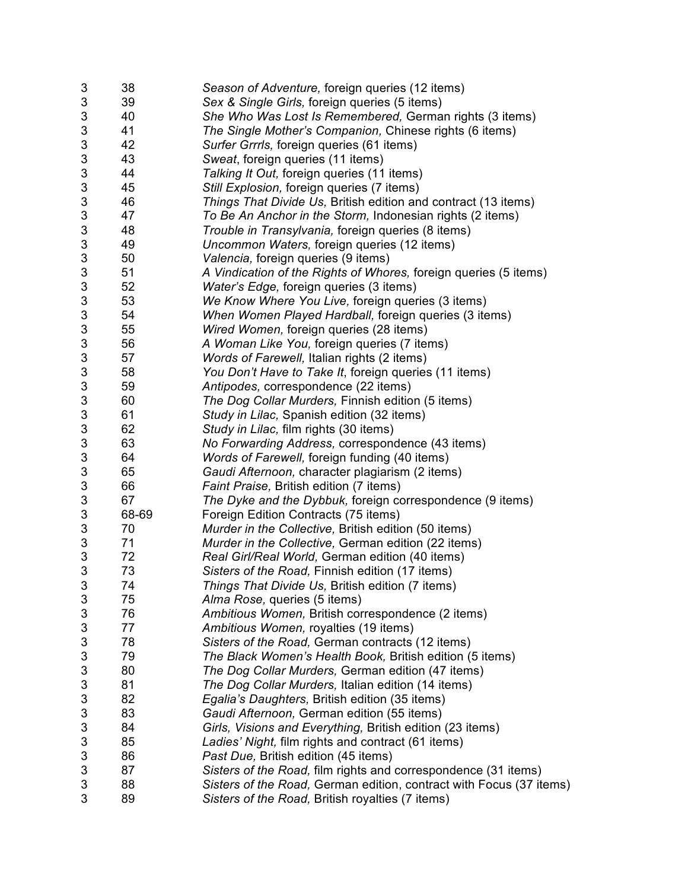| 3                         | 38    | Season of Adventure, foreign queries (12 items)                     |
|---------------------------|-------|---------------------------------------------------------------------|
| 3                         | 39    | Sex & Single Girls, foreign queries (5 items)                       |
| 3                         | 40    | She Who Was Lost Is Remembered, German rights (3 items)             |
| 3                         | 41    | The Single Mother's Companion, Chinese rights (6 items)             |
| $\ensuremath{\mathsf{3}}$ | 42    | Surfer Grrrls, foreign queries (61 items)                           |
| 3                         | 43    | Sweat, foreign queries (11 items)                                   |
| 3                         | 44    | Talking It Out, foreign queries (11 items)                          |
| 3                         | 45    | Still Explosion, foreign queries (7 items)                          |
| 3                         | 46    | Things That Divide Us, British edition and contract (13 items)      |
| 3                         | 47    | To Be An Anchor in the Storm, Indonesian rights (2 items)           |
| 3                         | 48    | Trouble in Transylvania, foreign queries (8 items)                  |
| 3                         | 49    | Uncommon Waters, foreign queries (12 items)                         |
| 3                         | 50    | Valencia, foreign queries (9 items)                                 |
| 3                         | 51    | A Vindication of the Rights of Whores, foreign queries (5 items)    |
| 3                         | 52    | Water's Edge, foreign queries (3 items)                             |
| 3                         | 53    | We Know Where You Live, foreign queries (3 items)                   |
| 3                         | 54    | When Women Played Hardball, foreign queries (3 items)               |
| 3                         | 55    | Wired Women, foreign queries (28 items)                             |
| $\ensuremath{\mathsf{3}}$ | 56    | A Woman Like You, foreign queries (7 items)                         |
| 3                         | 57    | Words of Farewell, Italian rights (2 items)                         |
| 3                         | 58    |                                                                     |
|                           |       | You Don't Have to Take It, foreign queries (11 items)               |
| 3                         | 59    | Antipodes, correspondence (22 items)                                |
| 3                         | 60    | The Dog Collar Murders, Finnish edition (5 items)                   |
| 3                         | 61    | Study in Lilac, Spanish edition (32 items)                          |
| 3                         | 62    | Study in Lilac, film rights (30 items)                              |
| 3                         | 63    | No Forwarding Address, correspondence (43 items)                    |
| 3                         | 64    | Words of Farewell, foreign funding (40 items)                       |
| 3                         | 65    | Gaudi Afternoon, character plagiarism (2 items)                     |
| 3                         | 66    | Faint Praise, British edition (7 items)                             |
| 3                         | 67    | The Dyke and the Dybbuk, foreign correspondence (9 items)           |
| 3                         | 68-69 | Foreign Edition Contracts (75 items)                                |
| 3                         | 70    | Murder in the Collective, British edition (50 items)                |
| 3                         | 71    | Murder in the Collective, German edition (22 items)                 |
| 3                         | 72    | Real Girl/Real World, German edition (40 items)                     |
| 3                         | 73    | Sisters of the Road, Finnish edition (17 items)                     |
| 3                         | 74    | Things That Divide Us, British edition (7 items)                    |
| 3                         | 75    | Alma Rose, queries (5 items)                                        |
| 3                         | 76    | Ambitious Women, British correspondence (2 items)                   |
| 3                         | 77    | Ambitious Women, royalties (19 items)                               |
| 3                         | 78    | Sisters of the Road, German contracts (12 items)                    |
| 3                         | 79    | The Black Women's Health Book, British edition (5 items)            |
| 3                         | 80    | The Dog Collar Murders, German edition (47 items)                   |
| 3                         | 81    | The Dog Collar Murders, Italian edition (14 items)                  |
| 3                         | 82    | Egalia's Daughters, British edition (35 items)                      |
| 3                         | 83    | Gaudi Afternoon, German edition (55 items)                          |
| 3                         | 84    | Girls, Visions and Everything, British edition (23 items)           |
| 3                         | 85    | Ladies' Night, film rights and contract (61 items)                  |
| 3                         | 86    | Past Due, British edition (45 items)                                |
| 3                         | 87    | Sisters of the Road, film rights and correspondence (31 items)      |
| 3                         | 88    | Sisters of the Road, German edition, contract with Focus (37 items) |
| 3                         | 89    | Sisters of the Road, British royalties (7 items)                    |